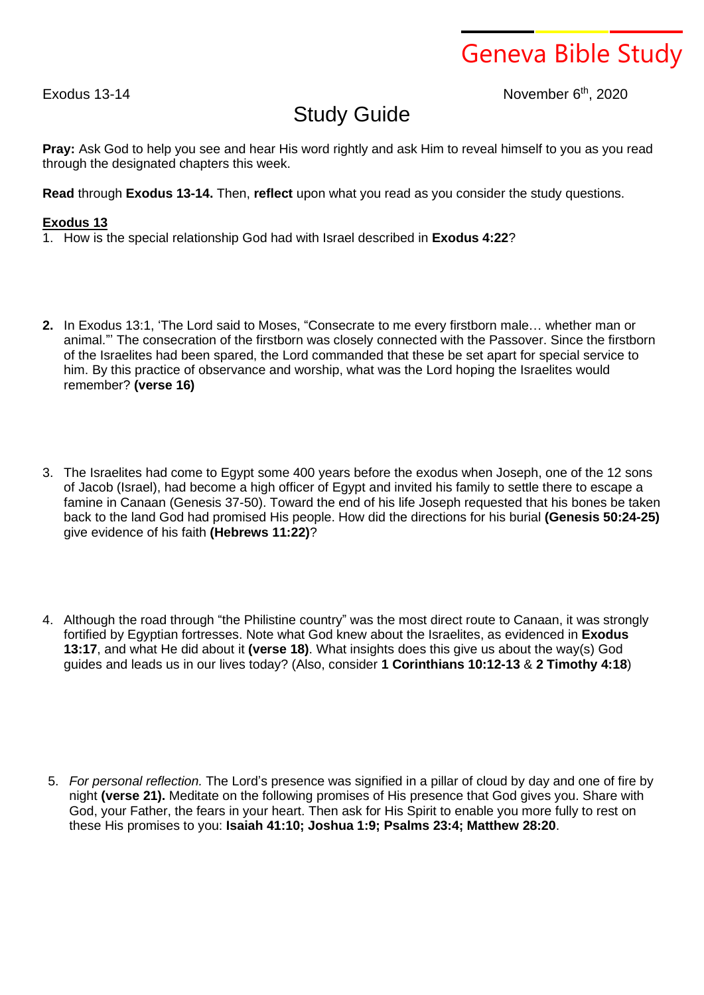Geneva Bible Study

Exodus 13-14 November 6<sup>th</sup>, 2020

## Study Guide

**Pray:** Ask God to help you see and hear His word rightly and ask Him to reveal himself to you as you read through the designated chapters this week.

**Read** through **Exodus 13-14.** Then, **reflect** upon what you read as you consider the study questions.

## **Exodus 13**

1. How is the special relationship God had with Israel described in **Exodus 4:22**?

- **2.** In Exodus 13:1, 'The Lord said to Moses, "Consecrate to me every firstborn male… whether man or animal."' The consecration of the firstborn was closely connected with the Passover. Since the firstborn of the Israelites had been spared, the Lord commanded that these be set apart for special service to him. By this practice of observance and worship, what was the Lord hoping the Israelites would remember? **(verse 16)**
- 3. The Israelites had come to Egypt some 400 years before the exodus when Joseph, one of the 12 sons of Jacob (Israel), had become a high officer of Egypt and invited his family to settle there to escape a famine in Canaan (Genesis 37-50). Toward the end of his life Joseph requested that his bones be taken back to the land God had promised His people. How did the directions for his burial **(Genesis 50:24-25)** give evidence of his faith **(Hebrews 11:22)**?
- 4. Although the road through "the Philistine country" was the most direct route to Canaan, it was strongly fortified by Egyptian fortresses. Note what God knew about the Israelites, as evidenced in **Exodus 13:17**, and what He did about it **(verse 18)**. What insights does this give us about the way(s) God guides and leads us in our lives today? (Also, consider **1 Corinthians 10:12-13** & **2 Timothy 4:18**)

5. *For personal reflection.* The Lord's presence was signified in a pillar of cloud by day and one of fire by night **(verse 21).** Meditate on the following promises of His presence that God gives you. Share with God, your Father, the fears in your heart. Then ask for His Spirit to enable you more fully to rest on these His promises to you: **Isaiah 41:10; Joshua 1:9; Psalms 23:4; Matthew 28:20**.